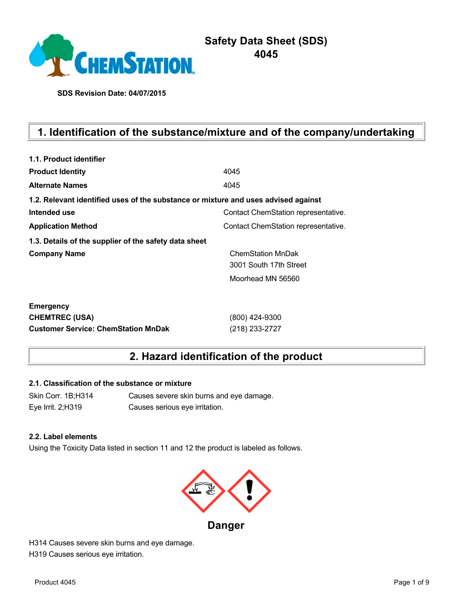

# **Safety Data Sheet (SDS) 4045**

**SDS Revision Date: 04/07/2015**

# **1. Identification of the substance/mixture and of the company/undertaking**

| 1.1. Product identifier                                                            |                                     |
|------------------------------------------------------------------------------------|-------------------------------------|
| <b>Product Identity</b>                                                            | 4045                                |
| <b>Alternate Names</b>                                                             | 4045                                |
| 1.2. Relevant identified uses of the substance or mixture and uses advised against |                                     |
| Intended use                                                                       | Contact ChemStation representative. |
| <b>Application Method</b>                                                          | Contact ChemStation representative. |
| 1.3. Details of the supplier of the safety data sheet                              |                                     |
| <b>Company Name</b>                                                                | <b>ChemStation MnDak</b>            |
|                                                                                    | 3001 South 17th Street              |
|                                                                                    | Moorhead MN 56560                   |
| <b>Emergency</b>                                                                   |                                     |
| <b>CHEMTREC (USA)</b>                                                              | (800) 424-9300                      |
| <b>Customer Service: ChemStation MnDak</b>                                         | (218) 233-2727                      |

# **2. Hazard identification of the product**

## **2.1. Classification of the substance or mixture**

Skin Corr. 1B;H314 Causes severe skin burns and eye damage. Eye Irrit. 2;H319 Causes serious eye irritation.

#### **2.2. Label elements**

Using the Toxicity Data listed in section 11 and 12 the product is labeled as follows.



**Danger**

H314 Causes severe skin burns and eye damage. H319 Causes serious eye irritation.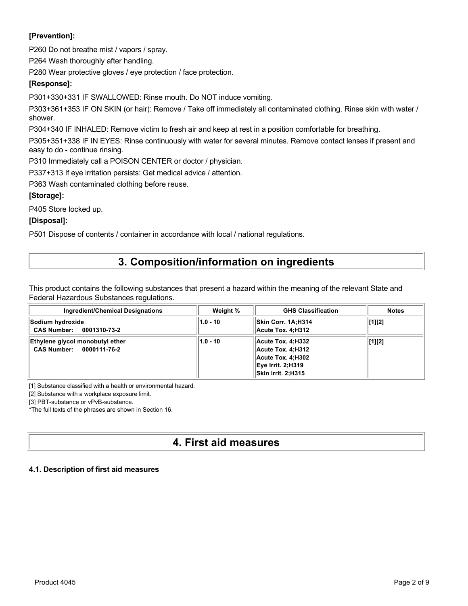## **[Prevention]:**

P260 Do not breathe mist / vapors / spray.

P264 Wash thoroughly after handling.

P280 Wear protective gloves / eye protection / face protection.

## **[Response]:**

P301+330+331 IF SWALLOWED: Rinse mouth. Do NOT induce vomiting.

P303+361+353 IF ON SKIN (or hair): Remove / Take off immediately all contaminated clothing. Rinse skin with water / shower.

P304+340 IF INHALED: Remove victim to fresh air and keep at rest in a position comfortable for breathing.

P305+351+338 IF IN EYES: Rinse continuously with water for several minutes. Remove contact lenses if present and easy to do - continue rinsing.

P310 Immediately call a POISON CENTER or doctor / physician.

P337+313 If eye irritation persists: Get medical advice / attention.

P363 Wash contaminated clothing before reuse.

## **[Storage]:**

P405 Store locked up.

**[Disposal]:**

P501 Dispose of contents / container in accordance with local / national regulations.

# **3. Composition/information on ingredients**

This product contains the following substances that present a hazard within the meaning of the relevant State and Federal Hazardous Substances regulations.

| <b>Ingredient/Chemical Designations</b>                     | Weight %   | <b>GHS Classification</b>                                                                                            | <b>Notes</b>   |
|-------------------------------------------------------------|------------|----------------------------------------------------------------------------------------------------------------------|----------------|
| Sodium hydroxide<br>CAS Number: 0001310-73-2                | $1.0 - 10$ | Skin Corr. 1A:H314<br>Acute Tox. 4:H312                                                                              | $\vert$ [1][2] |
| Ethylene glycol monobutyl ether<br>CAS Number: 0000111-76-2 | $1.0 - 10$ | Acute Tox. 4:H332<br>Acute Tox. 4:H312<br>Acute Tox. 4:H302<br><b>Eye Irrit. 2:H319</b><br><b>Skin Irrit. 2:H315</b> | [1][2]         |

[1] Substance classified with a health or environmental hazard.

[2] Substance with a workplace exposure limit.

[3] PBT-substance or vPvB-substance.

\*The full texts of the phrases are shown in Section 16.

# **4. First aid measures**

## **4.1. Description of first aid measures**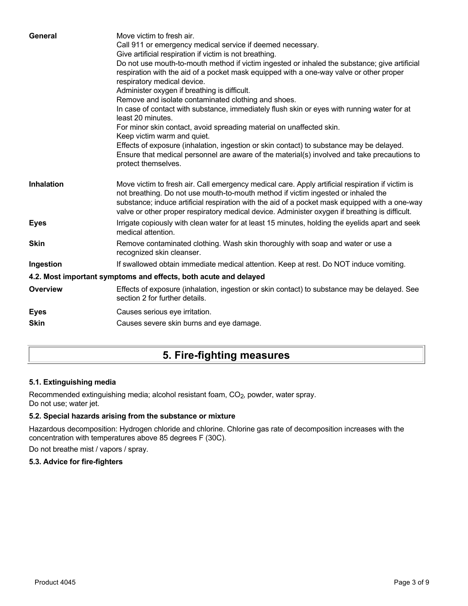| General           | Move victim to fresh air.<br>Call 911 or emergency medical service if deemed necessary.<br>Give artificial respiration if victim is not breathing.<br>Do not use mouth-to-mouth method if victim ingested or inhaled the substance; give artificial<br>respiration with the aid of a pocket mask equipped with a one-way valve or other proper<br>respiratory medical device.<br>Administer oxygen if breathing is difficult.<br>Remove and isolate contaminated clothing and shoes.<br>In case of contact with substance, immediately flush skin or eyes with running water for at<br>least 20 minutes.<br>For minor skin contact, avoid spreading material on unaffected skin.<br>Keep victim warm and quiet.<br>Effects of exposure (inhalation, ingestion or skin contact) to substance may be delayed.<br>Ensure that medical personnel are aware of the material(s) involved and take precautions to<br>protect themselves. |
|-------------------|-----------------------------------------------------------------------------------------------------------------------------------------------------------------------------------------------------------------------------------------------------------------------------------------------------------------------------------------------------------------------------------------------------------------------------------------------------------------------------------------------------------------------------------------------------------------------------------------------------------------------------------------------------------------------------------------------------------------------------------------------------------------------------------------------------------------------------------------------------------------------------------------------------------------------------------|
| <b>Inhalation</b> | Move victim to fresh air. Call emergency medical care. Apply artificial respiration if victim is<br>not breathing. Do not use mouth-to-mouth method if victim ingested or inhaled the<br>substance; induce artificial respiration with the aid of a pocket mask equipped with a one-way<br>valve or other proper respiratory medical device. Administer oxygen if breathing is difficult.                                                                                                                                                                                                                                                                                                                                                                                                                                                                                                                                         |
| <b>Eyes</b>       | Irrigate copiously with clean water for at least 15 minutes, holding the eyelids apart and seek<br>medical attention.                                                                                                                                                                                                                                                                                                                                                                                                                                                                                                                                                                                                                                                                                                                                                                                                             |
| <b>Skin</b>       | Remove contaminated clothing. Wash skin thoroughly with soap and water or use a<br>recognized skin cleanser.                                                                                                                                                                                                                                                                                                                                                                                                                                                                                                                                                                                                                                                                                                                                                                                                                      |
| Ingestion         | If swallowed obtain immediate medical attention. Keep at rest. Do NOT induce vomiting.                                                                                                                                                                                                                                                                                                                                                                                                                                                                                                                                                                                                                                                                                                                                                                                                                                            |
|                   | 4.2. Most important symptoms and effects, both acute and delayed                                                                                                                                                                                                                                                                                                                                                                                                                                                                                                                                                                                                                                                                                                                                                                                                                                                                  |
| <b>Overview</b>   | Effects of exposure (inhalation, ingestion or skin contact) to substance may be delayed. See<br>section 2 for further details.                                                                                                                                                                                                                                                                                                                                                                                                                                                                                                                                                                                                                                                                                                                                                                                                    |
| <b>Eyes</b>       | Causes serious eye irritation.                                                                                                                                                                                                                                                                                                                                                                                                                                                                                                                                                                                                                                                                                                                                                                                                                                                                                                    |
| <b>Skin</b>       | Causes severe skin burns and eye damage.                                                                                                                                                                                                                                                                                                                                                                                                                                                                                                                                                                                                                                                                                                                                                                                                                                                                                          |
|                   |                                                                                                                                                                                                                                                                                                                                                                                                                                                                                                                                                                                                                                                                                                                                                                                                                                                                                                                                   |

# **5. Fire-fighting measures**

## **5.1. Extinguishing media**

Recommended extinguishing media; alcohol resistant foam, CO<sub>2</sub>, powder, water spray. Do not use; water jet.

## **5.2. Special hazards arising from the substance or mixture**

Hazardous decomposition: Hydrogen chloride and chlorine. Chlorine gas rate of decomposition increases with the concentration with temperatures above 85 degrees F (30C).

Do not breathe mist / vapors / spray.

## **5.3. Advice for fire-fighters**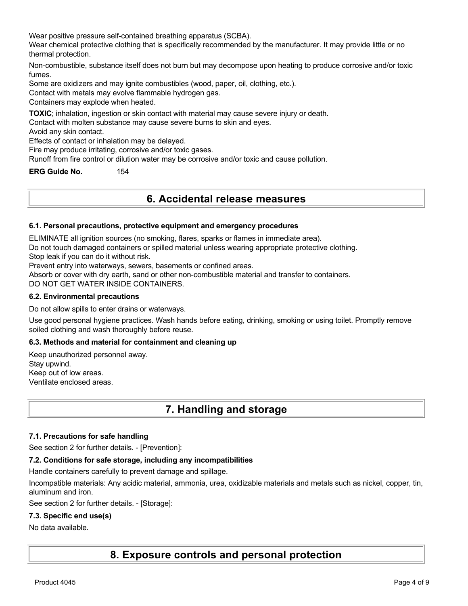Wear positive pressure self-contained breathing apparatus (SCBA).

Wear chemical protective clothing that is specifically recommended by the manufacturer. It may provide little or no thermal protection.

Non-combustible, substance itself does not burn but may decompose upon heating to produce corrosive and/or toxic fumes.

Some are oxidizers and may ignite combustibles (wood, paper, oil, clothing, etc.).

Contact with metals may evolve flammable hydrogen gas.

Containers may explode when heated.

**TOXIC**; inhalation, ingestion or skin contact with material may cause severe injury or death.

Contact with molten substance may cause severe burns to skin and eyes.

Avoid any skin contact.

Effects of contact or inhalation may be delayed.

Fire may produce irritating, corrosive and/or toxic gases.

Runoff from fire control or dilution water may be corrosive and/or toxic and cause pollution.

**ERG Guide No.** 154

## **6. Accidental release measures**

#### **6.1. Personal precautions, protective equipment and emergency procedures**

ELIMINATE all ignition sources (no smoking, flares, sparks or flames in immediate area).

Do not touch damaged containers or spilled material unless wearing appropriate protective clothing.

Stop leak if you can do it without risk.

Prevent entry into waterways, sewers, basements or confined areas.

Absorb or cover with dry earth, sand or other non-combustible material and transfer to containers.

DO NOT GET WATER INSIDE CONTAINERS.

#### **6.2. Environmental precautions**

Do not allow spills to enter drains or waterways.

Use good personal hygiene practices. Wash hands before eating, drinking, smoking or using toilet. Promptly remove soiled clothing and wash thoroughly before reuse.

#### **6.3. Methods and material for containment and cleaning up**

Keep unauthorized personnel away. Stay upwind. Keep out of low areas. Ventilate enclosed areas.

## **7. Handling and storage**

#### **7.1. Precautions for safe handling**

See section 2 for further details. - [Prevention]:

#### **7.2. Conditions for safe storage, including any incompatibilities**

Handle containers carefully to prevent damage and spillage.

Incompatible materials: Any acidic material, ammonia, urea, oxidizable materials and metals such as nickel, copper, tin, aluminum and iron.

See section 2 for further details. - [Storage]:

#### **7.3. Specific end use(s)**

No data available.

## **8. Exposure controls and personal protection**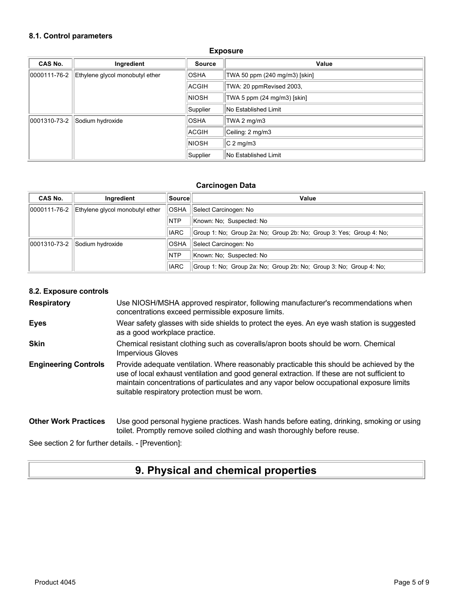#### **8.1. Control parameters**

| CAS No.      | Ingredient                      | <b>Source</b> | Value                         |
|--------------|---------------------------------|---------------|-------------------------------|
| 0000111-76-2 | Ethylene glycol monobutyl ether | <b>OSHA</b>   | TWA 50 ppm (240 mg/m3) [skin] |
|              |                                 | ACGIH         | TWA: 20 ppmRevised 2003,      |
|              |                                 | <b>NIOSH</b>  | TWA 5 ppm (24 mg/m3) [skin]   |
|              |                                 | Supplier      | No Established Limit          |
| 0001310-73-2 | Sodium hydroxide                | <b>OSHA</b>   | TWA 2 mg/m3                   |
|              |                                 | <b>ACGIH</b>  | Ceiling: 2 mg/m3              |
|              |                                 | <b>NIOSH</b>  | $C2$ mg/m3                    |
|              |                                 | Supplier      | No Established Limit          |

#### **Exposure**

#### **Carcinogen Data**

| CAS No.      | Ingredient                      | ∣Source∣    | Value                                                               |
|--------------|---------------------------------|-------------|---------------------------------------------------------------------|
| 0000111-76-2 | Ethylene givcol monobutyl ether | <b>OSHA</b> | Select Carcinogen: No                                               |
|              |                                 | <b>NTP</b>  | Known: No: Suspected: No                                            |
|              |                                 | <b>IARC</b> | Group 1: No; Group 2a: No; Group 2b: No; Group 3: Yes; Group 4: No; |
| 0001310-73-2 | Sodium hydroxide                | <b>OSHA</b> | Select Carcinogen: No                                               |
|              |                                 | <b>NTP</b>  | Known: No: Suspected: No                                            |
|              |                                 | <b>IARC</b> | Group 1: No; Group 2a: No; Group 2b: No; Group 3: No; Group 4: No;  |

#### **8.2. Exposure controls**

**Respiratory** Use NIOSH/MSHA approved respirator, following manufacturer's recommendations when concentrations exceed permissible exposure limits.

- **Eyes** Wear safety glasses with side shields to protect the eyes. An eye wash station is suggested as a good workplace practice.
- **Skin** Chemical resistant clothing such as coveralls/apron boots should be worn. Chemical Impervious Gloves
- **Engineering Controls** Provide adequate ventilation. Where reasonably practicable this should be achieved by the use of local exhaust ventilation and good general extraction. If these are not sufficient to maintain concentrations of particulates and any vapor below occupational exposure limits suitable respiratory protection must be worn.

#### **Other Work Practices** Use good personal hygiene practices. Wash hands before eating, drinking, smoking or using toilet. Promptly remove soiled clothing and wash thoroughly before reuse.

See section 2 for further details. - [Prevention]:

## **9. Physical and chemical properties**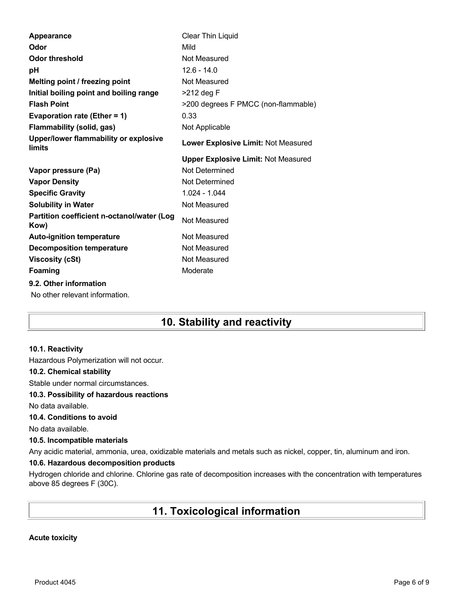| Odor<br>Mild<br><b>Odor threshold</b><br>Not Measured<br>$12.6 - 14.0$<br>рH<br>Melting point / freezing point<br>Not Measured<br>Initial boiling point and boiling range<br>$>212$ deg F<br><b>Flash Point</b><br>>200 degrees F PMCC (non-flammable)<br>0.33<br>Evaporation rate (Ether = $1$ )<br><b>Flammability (solid, gas)</b><br>Not Applicable<br>Upper/lower flammability or explosive<br>Lower Explosive Limit: Not Measured<br>limits<br><b>Upper Explosive Limit: Not Measured</b><br>Not Determined<br>Vapor pressure (Pa)<br>Not Determined<br><b>Vapor Density</b><br><b>Specific Gravity</b><br>1.024 - 1.044<br><b>Solubility in Water</b><br>Not Measured<br>Partition coefficient n-octanol/water (Log<br>Not Measured<br>Kow)<br>Not Measured<br><b>Auto-ignition temperature</b><br><b>Decomposition temperature</b><br>Not Measured<br>Not Measured<br><b>Viscosity (cSt)</b><br><b>Foaming</b><br>Moderate<br>9.2. Other information<br>No other relevant information. | Appearance | Clear Thin Liquid |
|------------------------------------------------------------------------------------------------------------------------------------------------------------------------------------------------------------------------------------------------------------------------------------------------------------------------------------------------------------------------------------------------------------------------------------------------------------------------------------------------------------------------------------------------------------------------------------------------------------------------------------------------------------------------------------------------------------------------------------------------------------------------------------------------------------------------------------------------------------------------------------------------------------------------------------------------------------------------------------------------|------------|-------------------|
|                                                                                                                                                                                                                                                                                                                                                                                                                                                                                                                                                                                                                                                                                                                                                                                                                                                                                                                                                                                                |            |                   |
|                                                                                                                                                                                                                                                                                                                                                                                                                                                                                                                                                                                                                                                                                                                                                                                                                                                                                                                                                                                                |            |                   |
|                                                                                                                                                                                                                                                                                                                                                                                                                                                                                                                                                                                                                                                                                                                                                                                                                                                                                                                                                                                                |            |                   |
|                                                                                                                                                                                                                                                                                                                                                                                                                                                                                                                                                                                                                                                                                                                                                                                                                                                                                                                                                                                                |            |                   |
|                                                                                                                                                                                                                                                                                                                                                                                                                                                                                                                                                                                                                                                                                                                                                                                                                                                                                                                                                                                                |            |                   |
|                                                                                                                                                                                                                                                                                                                                                                                                                                                                                                                                                                                                                                                                                                                                                                                                                                                                                                                                                                                                |            |                   |
|                                                                                                                                                                                                                                                                                                                                                                                                                                                                                                                                                                                                                                                                                                                                                                                                                                                                                                                                                                                                |            |                   |
|                                                                                                                                                                                                                                                                                                                                                                                                                                                                                                                                                                                                                                                                                                                                                                                                                                                                                                                                                                                                |            |                   |
|                                                                                                                                                                                                                                                                                                                                                                                                                                                                                                                                                                                                                                                                                                                                                                                                                                                                                                                                                                                                |            |                   |
|                                                                                                                                                                                                                                                                                                                                                                                                                                                                                                                                                                                                                                                                                                                                                                                                                                                                                                                                                                                                |            |                   |
|                                                                                                                                                                                                                                                                                                                                                                                                                                                                                                                                                                                                                                                                                                                                                                                                                                                                                                                                                                                                |            |                   |
|                                                                                                                                                                                                                                                                                                                                                                                                                                                                                                                                                                                                                                                                                                                                                                                                                                                                                                                                                                                                |            |                   |
|                                                                                                                                                                                                                                                                                                                                                                                                                                                                                                                                                                                                                                                                                                                                                                                                                                                                                                                                                                                                |            |                   |
|                                                                                                                                                                                                                                                                                                                                                                                                                                                                                                                                                                                                                                                                                                                                                                                                                                                                                                                                                                                                |            |                   |
|                                                                                                                                                                                                                                                                                                                                                                                                                                                                                                                                                                                                                                                                                                                                                                                                                                                                                                                                                                                                |            |                   |
|                                                                                                                                                                                                                                                                                                                                                                                                                                                                                                                                                                                                                                                                                                                                                                                                                                                                                                                                                                                                |            |                   |
|                                                                                                                                                                                                                                                                                                                                                                                                                                                                                                                                                                                                                                                                                                                                                                                                                                                                                                                                                                                                |            |                   |
|                                                                                                                                                                                                                                                                                                                                                                                                                                                                                                                                                                                                                                                                                                                                                                                                                                                                                                                                                                                                |            |                   |
|                                                                                                                                                                                                                                                                                                                                                                                                                                                                                                                                                                                                                                                                                                                                                                                                                                                                                                                                                                                                |            |                   |
|                                                                                                                                                                                                                                                                                                                                                                                                                                                                                                                                                                                                                                                                                                                                                                                                                                                                                                                                                                                                |            |                   |

# **10. Stability and reactivity**

#### **10.1. Reactivity**

Hazardous Polymerization will not occur.

#### **10.2. Chemical stability**

Stable under normal circumstances.

#### **10.3. Possibility of hazardous reactions**

No data available.

### **10.4. Conditions to avoid**

No data available.

#### **10.5. Incompatible materials**

Any acidic material, ammonia, urea, oxidizable materials and metals such as nickel, copper, tin, aluminum and iron.

### **10.6. Hazardous decomposition products**

Hydrogen chloride and chlorine. Chlorine gas rate of decomposition increases with the concentration with temperatures above 85 degrees F (30C).

# **11. Toxicological information**

#### **Acute toxicity**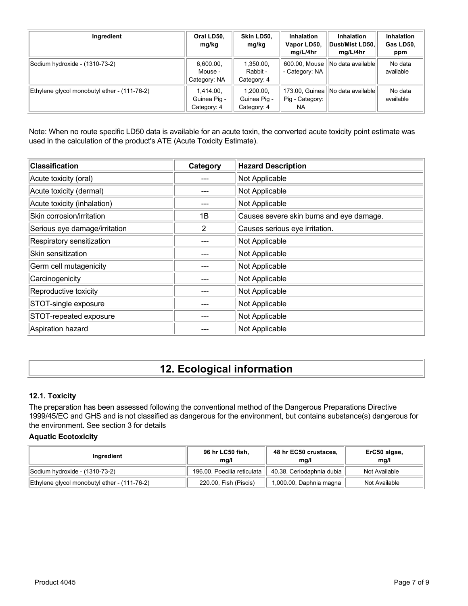| Ingredient                                   | Oral LD50,<br>mg/kg                      | Skin LD50,<br>mg/kg                      | <b>Inhalation</b><br>Vapor LD50,<br>mg/L/4hr | <b>Inhalation</b><br>Dust/Mist LD50,<br>mg/L/4hr | Inhalation<br>Gas LD50,<br>ppm |
|----------------------------------------------|------------------------------------------|------------------------------------------|----------------------------------------------|--------------------------------------------------|--------------------------------|
| Sodium hydroxide - (1310-73-2)               | 6,600.00,<br>Mouse -<br>Category: NA     | 1,350.00,<br>Rabbit -<br>Category: 4     | 600.00, Mouse<br>- Category: NA              | No data available                                | No data<br>available           |
| Ethylene glycol monobutyl ether - (111-76-2) | 1.414.00.<br>Guinea Pig -<br>Category: 4 | 1.200.00.<br>Guinea Pig -<br>Category: 4 | 173.00, Guinea<br>Pig - Category:<br>NA.     | INo data availablel                              | No data<br>available           |

Note: When no route specific LD50 data is available for an acute toxin, the converted acute toxicity point estimate was used in the calculation of the product's ATE (Acute Toxicity Estimate).

| <b>Classification</b>         | Category | <b>Hazard Description</b>                |
|-------------------------------|----------|------------------------------------------|
| Acute toxicity (oral)         |          | Not Applicable                           |
| Acute toxicity (dermal)       |          | Not Applicable                           |
| Acute toxicity (inhalation)   |          | Not Applicable                           |
| Skin corrosion/irritation     | 1B       | Causes severe skin burns and eye damage. |
| Serious eye damage/irritation | 2        | Causes serious eye irritation.           |
| Respiratory sensitization     |          | Not Applicable                           |
| Skin sensitization            |          | Not Applicable                           |
| Germ cell mutagenicity        |          | Not Applicable                           |
| Carcinogenicity               |          | Not Applicable                           |
| Reproductive toxicity         |          | Not Applicable                           |
| STOT-single exposure          |          | Not Applicable                           |
| STOT-repeated exposure        |          | Not Applicable                           |
| Aspiration hazard             |          | Not Applicable                           |

# **12. Ecological information**

#### **12.1. Toxicity**

The preparation has been assessed following the conventional method of the Dangerous Preparations Directive 1999/45/EC and GHS and is not classified as dangerous for the environment, but contains substance(s) dangerous for the environment. See section 3 for details

#### **Aquatic Ecotoxicity**

| Ingredient                                   | 96 hr LC50 fish,<br>ma/l    | 48 hr EC50 crustacea,<br>ma/l | ErC50 algae,<br>mq/l |
|----------------------------------------------|-----------------------------|-------------------------------|----------------------|
| Sodium hydroxide - (1310-73-2)               | 196.00, Poecilia reticulata | 40.38, Ceriodaphnia dubia     | Not Available        |
| Ethylene glycol monobutyl ether - (111-76-2) | 220.00, Fish (Piscis)       | 1,000.00, Daphnia magna       | Not Available        |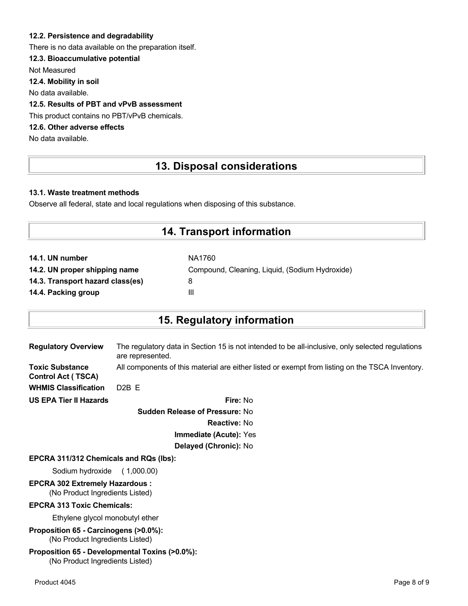### **12.2. Persistence and degradability**

There is no data available on the preparation itself.

### **12.3. Bioaccumulative potential**

Not Measured

**12.4. Mobility in soil**

No data available.

## **12.5. Results of PBT and vPvB assessment**

This product contains no PBT/vPvB chemicals.

## **12.6. Other adverse effects**

No data available.

## **13. Disposal considerations**

#### **13.1. Waste treatment methods**

Observe all federal, state and local regulations when disposing of this substance.

## **14. Transport information**

| NA1760                                         |
|------------------------------------------------|
| Compound, Cleaning, Liquid, (Sodium Hydroxide) |
| 8                                              |
| Ш                                              |
|                                                |

## **15. Regulatory information**

| <b>Regulatory Overview</b>                          | The regulatory data in Section 15 is not intended to be all-inclusive, only selected regulations<br>are represented. |
|-----------------------------------------------------|----------------------------------------------------------------------------------------------------------------------|
| <b>Toxic Substance</b><br><b>Control Act (TSCA)</b> | All components of this material are either listed or exempt from listing on the TSCA Inventory.                      |
| <b>WHMIS Classification</b>                         | $D2B$ F                                                                                                              |
| <b>US EPA Tier II Hazards</b>                       | Fire: No                                                                                                             |
|                                                     |                                                                                                                      |

**Sudden Release of Pressure:** No **Reactive:** No **Immediate (Acute):** Yes **Delayed (Chronic):** No

#### **EPCRA 311/312 Chemicals and RQs (lbs):**

Sodium hydroxide ( 1,000.00)

# **EPCRA 302 Extremely Hazardous :**

(No Product Ingredients Listed)

#### **EPCRA 313 Toxic Chemicals:**

Ethylene glycol monobutyl ether

**Proposition 65 - Carcinogens (>0.0%):** (No Product Ingredients Listed)

#### **Proposition 65 - Developmental Toxins (>0.0%):** (No Product Ingredients Listed)